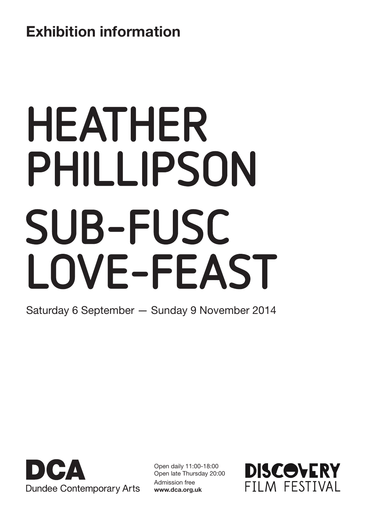## Exhibition information

# HEATHER PHILLIPSON SUB-FUSC LOVE-FEAST

Saturday 6 September — Sunday 9 November 2014



Open daily 11:00-18:00 Open late Thursday 20:00 Admission free www.dca.org.uk

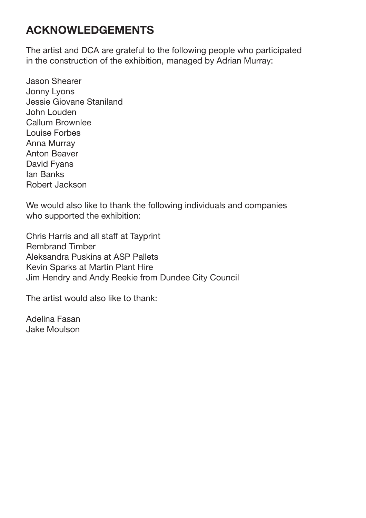## ACKNOWLEDGEMENTS

The artist and DCA are grateful to the following people who participated in the construction of the exhibition, managed by Adrian Murray:

Jason Shearer Jonny Lyons Jessie Giovane Staniland John Louden Callum Brownlee Louise Forbes Anna Murray Anton Beaver David Fyans Ian Banks Robert Jackson

We would also like to thank the following individuals and companies who supported the exhibition:

Chris Harris and all staff at Tayprint Rembrand Timber Aleksandra Puskins at ASP Pallets Kevin Sparks at Martin Plant Hire Jim Hendry and Andy Reekie from Dundee City Council

The artist would also like to thank:

Adelina Fasan Jake Moulson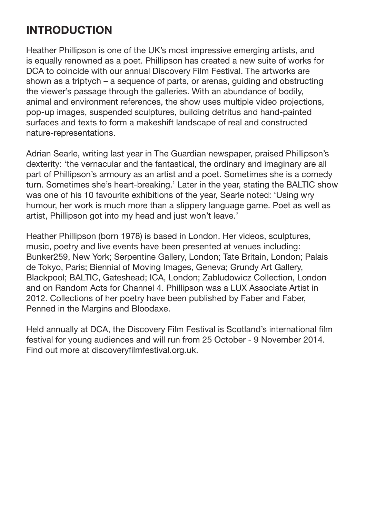## INTRODUCTION

Heather Phillipson is one of the UK's most impressive emerging artists, and is equally renowned as a poet. Phillipson has created a new suite of works for DCA to coincide with our annual Discovery Film Festival. The artworks are shown as a triptych – a sequence of parts, or arenas, guiding and obstructing the viewer's passage through the galleries. With an abundance of bodily, animal and environment references, the show uses multiple video projections, pop-up images, suspended sculptures, building detritus and hand-painted surfaces and texts to form a makeshift landscape of real and constructed nature-representations.

Adrian Searle, writing last year in The Guardian newspaper, praised Phillipson's dexterity: 'the vernacular and the fantastical, the ordinary and imaginary are all part of Phillipson's armoury as an artist and a poet. Sometimes she is a comedy turn. Sometimes she's heart-breaking.' Later in the year, stating the BALTIC show was one of his 10 favourite exhibitions of the year, Searle noted: 'Using wry humour, her work is much more than a slippery language game. Poet as well as artist, Phillipson got into my head and just won't leave.'

Heather Phillipson (born 1978) is based in London. Her videos, sculptures, music, poetry and live events have been presented at venues including: Bunker259, New York; Serpentine Gallery, London; Tate Britain, London; Palais de Tokyo, Paris; Biennial of Moving Images, Geneva; Grundy Art Gallery, Blackpool; BALTIC, Gateshead; ICA, London; Zabludowicz Collection, London and on Random Acts for Channel 4. Phillipson was a LUX Associate Artist in 2012. Collections of her poetry have been published by Faber and Faber, Penned in the Margins and Bloodaxe.

Held annually at DCA, the Discovery Film Festival is Scotland's international film festival for young audiences and will run from 25 October - 9 November 2014. Find out more at discoveryfilmfestival.org.uk.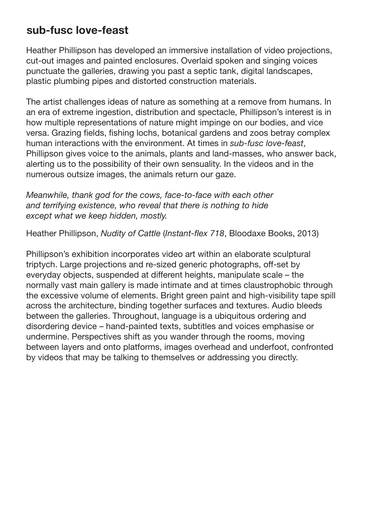### sub-fusc love-feast

Heather Phillipson has developed an immersive installation of video projections, cut-out images and painted enclosures. Overlaid spoken and singing voices punctuate the galleries, drawing you past a septic tank, digital landscapes, plastic plumbing pipes and distorted construction materials.

The artist challenges ideas of nature as something at a remove from humans. In an era of extreme ingestion, distribution and spectacle, Phillipson's interest is in how multiple representations of nature might impinge on our bodies, and vice versa. Grazing fields, fishing lochs, botanical gardens and zoos betray complex human interactions with the environment. At times in *sub-fusc love-feast*, Phillipson gives voice to the animals, plants and land-masses, who answer back, alerting us to the possibility of their own sensuality. In the videos and in the numerous outsize images, the animals return our gaze.

*Meanwhile, thank god for the cows, face-to-face with each other and terrifying existence, who reveal that there is nothing to hide except what we keep hidden, mostly.*

Heather Phillipson, *Nudity of Cattle* (*Instant-flex 718*, Bloodaxe Books, 2013)

Phillipson's exhibition incorporates video art within an elaborate sculptural triptych. Large projections and re-sized generic photographs, off-set by everyday objects, suspended at different heights, manipulate scale – the normally vast main gallery is made intimate and at times claustrophobic through the excessive volume of elements. Bright green paint and high-visibility tape spill across the architecture, binding together surfaces and textures. Audio bleeds between the galleries. Throughout, language is a ubiquitous ordering and disordering device – hand-painted texts, subtitles and voices emphasise or undermine. Perspectives shift as you wander through the rooms, moving between layers and onto platforms, images overhead and underfoot, confronted by videos that may be talking to themselves or addressing you directly.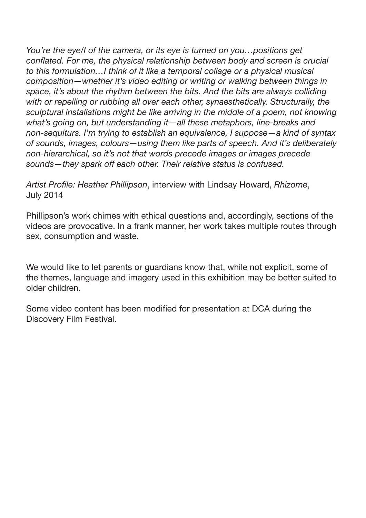*You're the eye/I of the camera, or its eye is turned on you…positions get conflated. For me, the physical relationship between body and screen is crucial to this formulation…I think of it like a temporal collage or a physical musical composition—whether it's video editing or writing or walking between things in space, it's about the rhythm between the bits. And the bits are always colliding with or repelling or rubbing all over each other, synaesthetically. Structurally, the sculptural installations might be like arriving in the middle of a poem, not knowing what's going on, but understanding it—all these metaphors, line-breaks and non-sequiturs. I'm trying to establish an equivalence, I suppose—a kind of syntax of sounds, images, colours—using them like parts of speech. And it's deliberately non-hierarchical, so it's not that words precede images or images precede sounds—they spark off each other. Their relative status is confused.*

*Artist Profile: Heather Phillipson*, interview with Lindsay Howard, *Rhizome*, July 2014

Phillipson's work chimes with ethical questions and, accordingly, sections of the videos are provocative. In a frank manner, her work takes multiple routes through sex, consumption and waste.

We would like to let parents or guardians know that, while not explicit, some of the themes, language and imagery used in this exhibition may be better suited to older children.

Some video content has been modified for presentation at DCA during the Discovery Film Festival.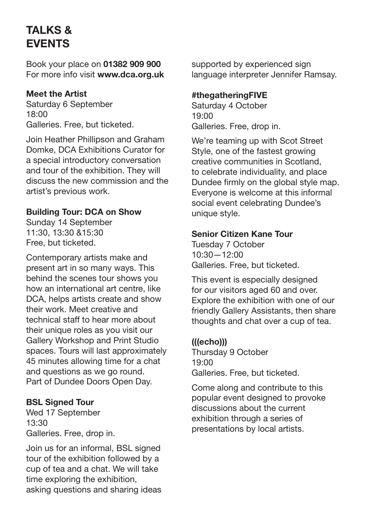## TALKS & EVENTS

Book your place on 01382 909 900 For more info visit www.dca.org.uk

#### Meet the Artist

Saturday 6 September 18:00 Galleries. Free, but ticketed.

Join Heather Phillipson and Graham Domke, DCA Exhibitions Curator for a special introductory conversation and tour of the exhibition. They will discuss the new commission and the artist's previous work.

#### Building Tour: DCA on Show

Sunday 14 September 11:30, 13:30 &15:30 Free, but ticketed.

Contemporary artists make and present art in so many ways. This behind the scenes tour shows you how an international art centre, like DCA, helps artists create and show their work. Meet creative and technical staff to hear more about their unique roles as you visit our Gallery Workshop and Print Studio spaces. Tours will last approximately 45 minutes allowing time for a chat and questions as we go round. Part of Dundee Doors Open Day.

#### BSL Signed Tour

Wed 17 September 13:30 Galleries. Free, drop in.

Join us for an informal, BSL signed tour of the exhibition followed by a cup of tea and a chat. We will take time exploring the exhibition, asking questions and sharing ideas supported by experienced sign language interpreter Jennifer Ramsay.

#### #thegatheringFIVE

Saturday 4 October 19:00 Galleries. Free, drop in.

We're teaming up with Scot Street Style, one of the fastest growing creative communities in Scotland, to celebrate individuality, and place Dundee firmly on the global style map. Everyone is welcome at this informal social event celebrating Dundee's unique style.

#### Senior Citizen Kane Tour

Tuesday 7 October 10:30—12:00 Galleries. Free, but ticketed.

This event is especially designed for our visitors aged 60 and over. Explore the exhibition with one of our friendly Gallery Assistants, then share thoughts and chat over a cup of tea.

#### (((echo)))

Thursday 9 October 19:00 Galleries. Free, but ticketed.

Come along and contribute to this popular event designed to provoke discussions about the current exhibition through a series of presentations by local artists.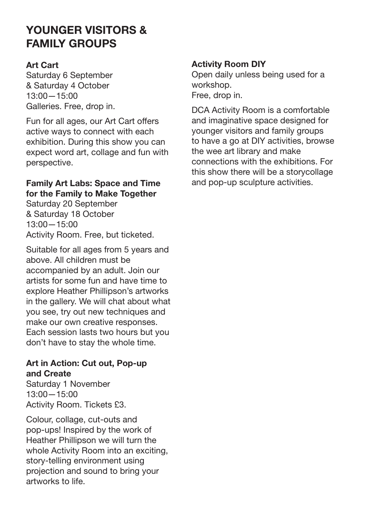## YOUNGER VISITORS & FAMILY GROUPS

#### Art Cart

Saturday 6 September & Saturday 4 October 13:00—15:00 Galleries. Free, drop in.

Fun for all ages, our Art Cart offers active ways to connect with each exhibition. During this show you can expect word art, collage and fun with perspective.

#### Family Art Labs: Space and Time for the Family to Make Together

Saturday 20 September & Saturday 18 October 13:00—15:00 Activity Room. Free, but ticketed.

Suitable for all ages from 5 years and above. All children must be accompanied by an adult. Join our artists for some fun and have time to explore Heather Phillipson's artworks in the gallery. We will chat about what you see, try out new techniques and make our own creative responses. Each session lasts two hours but you don't have to stay the whole time.

#### Art in Action: Cut out, Pop-up and Create

Saturday 1 November 13:00—15:00 Activity Room. Tickets £3.

Colour, collage, cut-outs and pop-ups! Inspired by the work of Heather Phillipson we will turn the whole Activity Room into an exciting, story-telling environment using projection and sound to bring your artworks to life.

#### Activity Room DIY

Open daily unless being used for a workshop. Free, drop in.

DCA Activity Room is a comfortable and imaginative space designed for younger visitors and family groups to have a go at DIY activities, browse the wee art library and make connections with the exhibitions. For this show there will be a storycollage and pop-up sculpture activities.